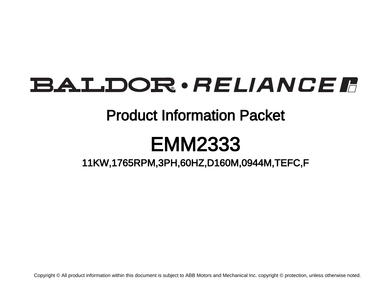# BALDOR · RELIANCE F

## Product Information Packet

# EMM2333

11KW,1765RPM,3PH,60HZ,D160M,0944M,TEFC,F

Copyright © All product information within this document is subject to ABB Motors and Mechanical Inc. copyright © protection, unless otherwise noted.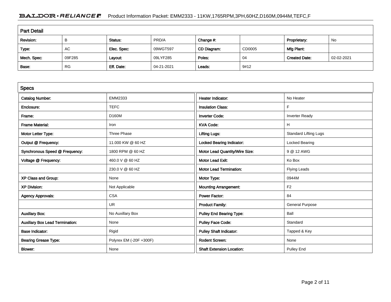### BALDOR · RELIANCE F Product Information Packet: EMM2333 - 11KW,1765RPM,3PH,60HZ,D160M,0944M,TEFC,F

| <b>Part Detail</b> |           |             |            |             |        |                      |            |  |
|--------------------|-----------|-------------|------------|-------------|--------|----------------------|------------|--|
| Revision:          | B         | Status:     | PRD/A      | Change #:   |        | Proprietary:         | No         |  |
| Type:              | AC        | Elec. Spec: | 09WGT597   | CD Diagram: | CD0005 | Mfg Plant:           |            |  |
| Mech. Spec:        | 09F285    | Layout:     | 09LYF285   | Poles:      | 04     | <b>Created Date:</b> | 02-02-2021 |  |
| Base:              | <b>RG</b> | Eff. Date:  | 04-21-2021 | Leads:      | 9#12   |                      |            |  |

| <b>Specs</b>                           |                         |                                  |                              |
|----------------------------------------|-------------------------|----------------------------------|------------------------------|
| <b>Catalog Number:</b>                 | EMM2333                 | <b>Heater Indicator:</b>         | No Heater                    |
| Enclosure:                             | <b>TEFC</b>             | <b>Insulation Class:</b>         | F                            |
| Frame:                                 | <b>D160M</b>            | <b>Inverter Code:</b>            | <b>Inverter Ready</b>        |
| <b>Frame Material:</b>                 | Iron                    | <b>KVA Code:</b>                 | H                            |
| Motor Letter Type:                     | Three Phase             | <b>Lifting Lugs:</b>             | <b>Standard Lifting Lugs</b> |
| Output @ Frequency:                    | 11.000 KW @ 60 HZ       | <b>Locked Bearing Indicator:</b> | Locked Bearing               |
| Synchronous Speed @ Frequency:         | 1800 RPM @ 60 HZ        | Motor Lead Quantity/Wire Size:   | 9 @ 12 AWG                   |
| Voltage @ Frequency:                   | 460.0 V @ 60 HZ         | <b>Motor Lead Exit:</b>          | Ko Box                       |
|                                        | 230.0 V @ 60 HZ         | <b>Motor Lead Termination:</b>   | <b>Flying Leads</b>          |
| XP Class and Group:                    | None                    | Motor Type:                      | 0944M                        |
| <b>XP Division:</b>                    | Not Applicable          | <b>Mounting Arrangement:</b>     | F <sub>2</sub>               |
| <b>Agency Approvals:</b>               | <b>CSA</b>              | <b>Power Factor:</b>             | 84                           |
|                                        | <b>UR</b>               | <b>Product Family:</b>           | <b>General Purpose</b>       |
| <b>Auxillary Box:</b>                  | No Auxillary Box        | <b>Pulley End Bearing Type:</b>  | Ball                         |
| <b>Auxillary Box Lead Termination:</b> | None                    | Pulley Face Code:                | Standard                     |
| <b>Base Indicator:</b>                 | Rigid                   | <b>Pulley Shaft Indicator:</b>   | Tapped & Key                 |
| <b>Bearing Grease Type:</b>            | Polyrex EM (-20F +300F) | <b>Rodent Screen:</b>            | None                         |
| <b>Blower:</b>                         | None                    | <b>Shaft Extension Location:</b> | <b>Pulley End</b>            |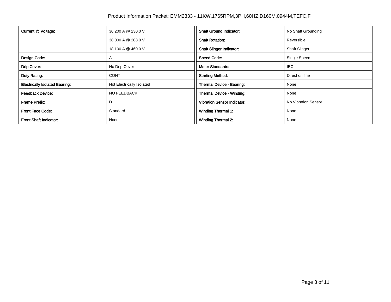| Current @ Voltage:                    | 36.200 A @ 230.0 V        | <b>Shaft Ground Indicator:</b>     | No Shaft Grounding   |
|---------------------------------------|---------------------------|------------------------------------|----------------------|
|                                       | 38.000 A @ 208.0 V        | <b>Shaft Rotation:</b>             | Reversible           |
|                                       | 18.100 A @ 460.0 V        | <b>Shaft Slinger Indicator:</b>    | <b>Shaft Slinger</b> |
| Design Code:                          | A                         | <b>Speed Code:</b>                 | Single Speed         |
| Drip Cover:                           | No Drip Cover             | <b>Motor Standards:</b>            | IEC                  |
| Duty Rating:                          | <b>CONT</b>               | <b>Starting Method:</b>            | Direct on line       |
| <b>Electrically Isolated Bearing:</b> | Not Electrically Isolated | Thermal Device - Bearing:          | None                 |
| <b>Feedback Device:</b>               | <b>NO FEEDBACK</b>        | Thermal Device - Winding:          | None                 |
| Frame Prefix:                         | D                         | <b>Vibration Sensor Indicator:</b> | No Vibration Sensor  |
| <b>Front Face Code:</b>               | Standard                  | Winding Thermal 1:                 | None                 |
| Front Shaft Indicator:                | None                      | Winding Thermal 2:                 | None                 |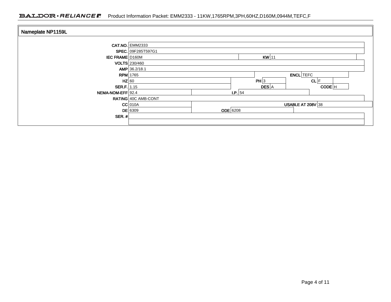### BALDOR · RELIANCE F Product Information Packet: EMM2333 - 11KW,1765RPM,3PH,60HZ,D160M,0944M,TEFC,F

| Nameplate NP1159L      |                        |                 |                   |                     |  |  |
|------------------------|------------------------|-----------------|-------------------|---------------------|--|--|
|                        | <b>CAT.NO. EMM2333</b> |                 |                   |                     |  |  |
|                        | SPEC. 09F285T597G1     |                 |                   |                     |  |  |
| <b>IEC FRAME D160M</b> | $KW$ 11                |                 |                   |                     |  |  |
|                        | <b>VOLTS</b> 230/460   |                 |                   |                     |  |  |
|                        | AMP 36.2/18.1          |                 |                   |                     |  |  |
|                        | $RPM$ 1765             |                 |                   | <b>ENCL</b> TEFC    |  |  |
|                        | $HZ$ 60                |                 | PH 3              | $CL$ $F$            |  |  |
| <b>SER.F.</b> 1.15     |                        |                 | DES A             | $CODE$ <sup>H</sup> |  |  |
| NEMA-NOM-EFF 92.4      |                        |                 | I.P. 54           |                     |  |  |
|                        | RATING 40C AMB-CONT    |                 |                   |                     |  |  |
|                        | $CC$ 010A              |                 | USABLE AT 208V 38 |                     |  |  |
|                        | <b>DE</b> 6309         | <b>ODE</b> 6208 |                   |                     |  |  |
| SER. $#$               |                        |                 |                   |                     |  |  |
|                        |                        |                 |                   |                     |  |  |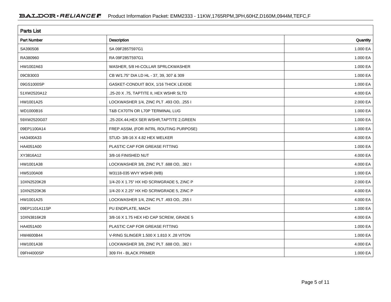| <b>Parts List</b>  |                                            |          |  |  |  |
|--------------------|--------------------------------------------|----------|--|--|--|
| <b>Part Number</b> | Description                                | Quantity |  |  |  |
| SA390508           | SA 09F285T597G1                            | 1.000 EA |  |  |  |
| RA380960           | RA 09F285T597G1                            | 1.000 EA |  |  |  |
| HW1002A63          | WASHER, 5/8 HI-COLLAR SPRLCKWASHER         | 1.000 EA |  |  |  |
| 09CB3003           | CB W/1.75" DIA LD HL - 37, 39, 307 & 309   | 1.000 EA |  |  |  |
| 09GS1000SP         | GASKET-CONDUIT BOX, 1/16 THICK LEXIDE      | 1.000 EA |  |  |  |
| 51XW2520A12        | .25-20 X .75, TAPTITE II, HEX WSHR SLTD    | 4.000 EA |  |  |  |
| HW1001A25          | LOCKWASHER 1/4, ZINC PLT .493 OD, .255 I   | 2.000 EA |  |  |  |
| WD1000B16          | T&B CX70TN OR L70P TERMINAL LUG            | 1.000 EA |  |  |  |
| 59XW2520G07        | .25-20X.44, HEX SER WSHR, TAPTITE 2, GREEN | 1.000 EA |  |  |  |
| 09EP1100A14        | FREP ASSM, (FOR INTRL ROUTING PURPOSE)     | 1.000 EA |  |  |  |
| HA3400A33          | STUD- 3/8-16 X 4.82 HEX WELKER             | 4.000 EA |  |  |  |
| HA4051A00          | PLASTIC CAP FOR GREASE FITTING             | 1.000 EA |  |  |  |
| XY3816A12          | 3/8-16 FINISHED NUT                        | 4.000 EA |  |  |  |
| HW1001A38          | LOCKWASHER 3/8, ZINC PLT .688 OD, .382 I   | 4.000 EA |  |  |  |
| HW5100A08          | W3118-035 WVY WSHR (WB)                    | 1.000 EA |  |  |  |
| 10XN2520K28        | 1/4-20 X 1.75" HX HD SCRWGRADE 5, ZINC P   | 2.000 EA |  |  |  |
| 10XN2520K36        | 1/4-20 X 2.25" HX HD SCRWGRADE 5, ZINC P   | 4.000 EA |  |  |  |
| HW1001A25          | LOCKWASHER 1/4, ZINC PLT .493 OD, .255 I   | 4.000 EA |  |  |  |
| 09EP1101A11SP      | PU ENDPLATE, MACH                          | 1.000 EA |  |  |  |
| 10XN3816K28        | 3/8-16 X 1.75 HEX HD CAP SCREW, GRADE 5    | 4.000 EA |  |  |  |
| HA4051A00          | PLASTIC CAP FOR GREASE FITTING             | 1.000 EA |  |  |  |
| HW4600B44          | V-RING SLINGER 1.500 X 1.810 X .28 VITON   | 1.000 EA |  |  |  |
| HW1001A38          | LOCKWASHER 3/8, ZINC PLT .688 OD, .382 I   | 4.000 EA |  |  |  |
| 09FH4000SP         | 309 FH - BLACK PRIMER                      | 1.000 EA |  |  |  |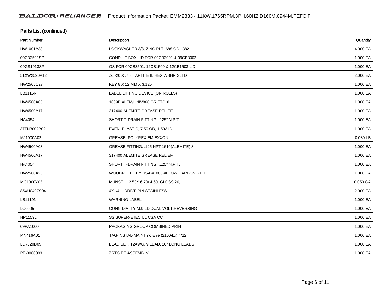| Parts List (continued) |                                             |          |  |  |  |
|------------------------|---------------------------------------------|----------|--|--|--|
| <b>Part Number</b>     | Description                                 | Quantity |  |  |  |
| HW1001A38              | LOCKWASHER 3/8, ZINC PLT .688 OD, .382 I    | 4.000 EA |  |  |  |
| 09CB3501SP             | CONDUIT BOX LID FOR 09CB3001 & 09CB3002     | 1.000 EA |  |  |  |
| 09GS1013SP             | GS FOR 09CB3501, 12CB1500 & 12CB1503 LID    | 1.000 EA |  |  |  |
| 51XW2520A12            | .25-20 X .75, TAPTITE II, HEX WSHR SLTD     | 2.000 EA |  |  |  |
| HW2505C27              | KEY 8 X 12 MM X 3.125                       | 1.000 EA |  |  |  |
| LB1115N                | LABEL, LIFTING DEVICE (ON ROLLS)            | 1.000 EA |  |  |  |
| HW4500A05              | 1669B ALEM/UNIV860 GR FTG X                 | 1.000 EA |  |  |  |
| HW4500A17              | 317400 ALEMITE GREASE RELIEF                | 1.000 EA |  |  |  |
| HA4054                 | SHORT T-DRAIN FITTING, .125" N.P.T.         | 1.000 EA |  |  |  |
| 37FN3002B02            | EXFN, PLASTIC, 7.50 OD, 1.503 ID            | 1.000 EA |  |  |  |
| MJ1000A02              | GREASE, POLYREX EM EXXON                    | 0.080 LB |  |  |  |
| HW4500A03              | GREASE FITTING, .125 NPT 1610(ALEMITE) 8    | 1.000 EA |  |  |  |
| HW4500A17              | 317400 ALEMITE GREASE RELIEF                | 1.000 EA |  |  |  |
| HA4054                 | SHORT T-DRAIN FITTING, .125" N.P.T.         | 1.000 EA |  |  |  |
| HW2500A25              | WOODRUFF KEY USA #1008 #BLOW CARBON STEE    | 1.000 EA |  |  |  |
| MG1000Y03              | MUNSELL 2.53Y 6.70/ 4.60, GLOSS 20,         | 0.050 GA |  |  |  |
| 85XU0407S04            | 4X1/4 U DRIVE PIN STAINLESS                 | 2.000 EA |  |  |  |
| LB1119N                | <b>WARNING LABEL</b>                        | 1.000 EA |  |  |  |
| LC0005                 | CONN.DIA., TY M, 9-LD, DUAL VOLT, REVERSING | 1.000 EA |  |  |  |
| <b>NP1159L</b>         | SS SUPER-E IEC UL CSA CC                    | 1.000 EA |  |  |  |
| 09PA1000               | PACKAGING GROUP COMBINED PRINT              | 1.000 EA |  |  |  |
| MN416A01               | TAG-INSTAL-MAINT no wire (2100/bx) 4/22     | 1.000 EA |  |  |  |
| LD7020D09              | LEAD SET, 12AWG, 9 LEAD, 20" LONG LEADS     | 1.000 EA |  |  |  |
| PE-0000003             | ZRTG PE ASSEMBLY                            | 1.000 EA |  |  |  |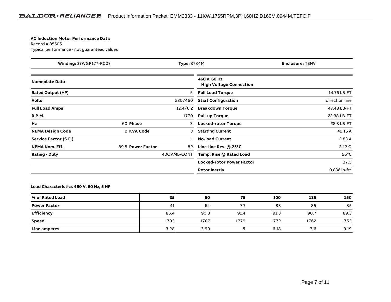#### **AC Induction Motor Performance Data**

Record # 85505Typical performance - not guaranteed values

| <b>Winding: 37WGR177-R007</b><br><b>Type: 3734M</b> |                   | <b>Enclosure: TENV</b> |                                                 |                          |
|-----------------------------------------------------|-------------------|------------------------|-------------------------------------------------|--------------------------|
| <b>Nameplate Data</b>                               |                   |                        | 460 V, 60 Hz:<br><b>High Voltage Connection</b> |                          |
| <b>Rated Output (HP)</b>                            |                   | 5                      | <b>Full Load Torque</b>                         | 14.76 LB-FT              |
| <b>Volts</b>                                        |                   | 230/460                | <b>Start Configuration</b>                      | direct on line           |
| <b>Full Load Amps</b>                               |                   | 12.4/6.2               | <b>Breakdown Torque</b>                         | 47.48 LB-FT              |
| <b>R.P.M.</b>                                       |                   | 1770                   | <b>Pull-up Torque</b>                           | 22.38 LB-FT              |
| Hz                                                  | 60 Phase          | 3                      | <b>Locked-rotor Torque</b>                      | 28.3 LB-FT               |
| <b>NEMA Design Code</b>                             | <b>B KVA Code</b> |                        | <b>Starting Current</b>                         | 49.16 A                  |
| Service Factor (S.F.)                               |                   |                        | <b>No-load Current</b>                          | 2.83 A                   |
| <b>NEMA Nom. Eff.</b>                               | 89.5 Power Factor | 82                     | Line-line Res. @ 25°C                           | $2.12 \Omega$            |
| <b>Rating - Duty</b>                                |                   | 40C AMB-CONT           | Temp. Rise @ Rated Load                         | $56^{\circ}$ C           |
|                                                     |                   |                        | <b>Locked-rotor Power Factor</b>                | 37.5                     |
|                                                     |                   |                        | <b>Rotor inertia</b>                            | 0.836 lb-ft <sup>2</sup> |

#### **Load Characteristics 460 V, 60 Hz, 5 HP**

| % of Rated Load     | 25   | 50   | 75   | 100  | 125  | 150  |
|---------------------|------|------|------|------|------|------|
| <b>Power Factor</b> | 41   | 64   |      | 83   | 85   | 85   |
| <b>Efficiency</b>   | 86.4 | 90.8 | 91.4 | 91.3 | 90.7 | 89.3 |
| Speed               | 1793 | 1787 | 1779 | 1772 | 1762 | 1753 |
| Line amperes        | 3.28 | 3.99 |      | 6.18 | 7.6  | 9.19 |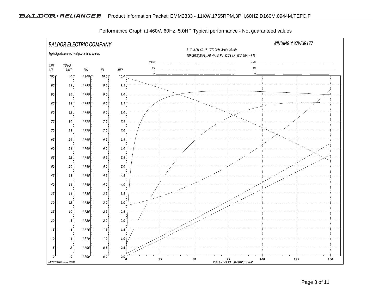

Performance Graph at 460V, 60Hz, 5.0HP Typical performance - Not guaranteed values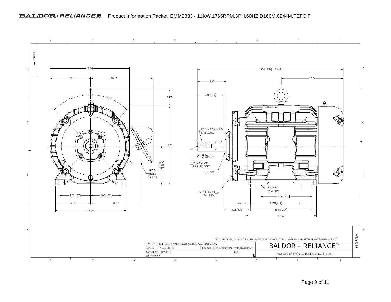

Page 9 of 11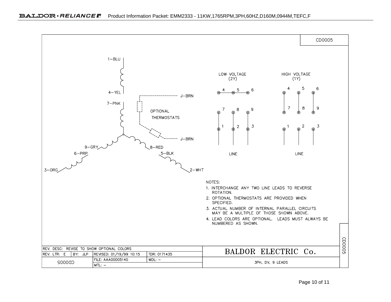